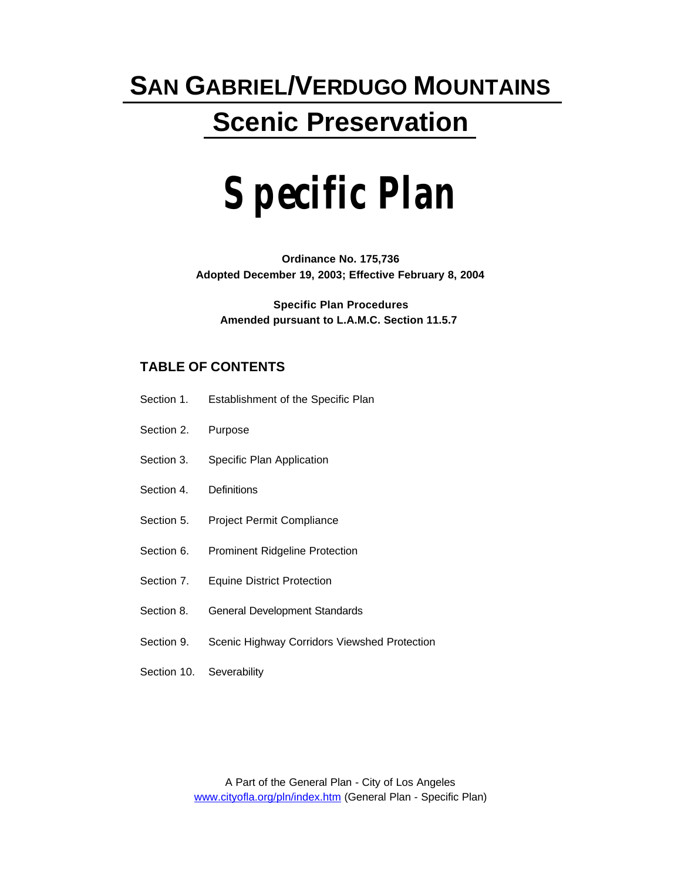# **SAN GABRIEL/VERDUGO MOUNTAINS Scenic Preservation**

# **Specific Plan**

**Ordinance No. 175,736 Adopted December 19, 2003; Effective February 8, 2004**

**Specific Plan Procedures Amended pursuant to L.A.M.C. Section 11.5.7** 

### **TABLE OF CONTENTS**

- Section 1. Establishment of the Specific Plan
- Section 2. Purpose
- Section 3. Specific Plan Application
- Section 4. Definitions
- Section 5. Project Permit Compliance
- Section 6. Prominent Ridgeline Protection
- Section 7. Equine District Protection
- Section 8.General Development Standards
- Section 9. Scenic Highway Corridors Viewshed Protection
- Section 10. Severability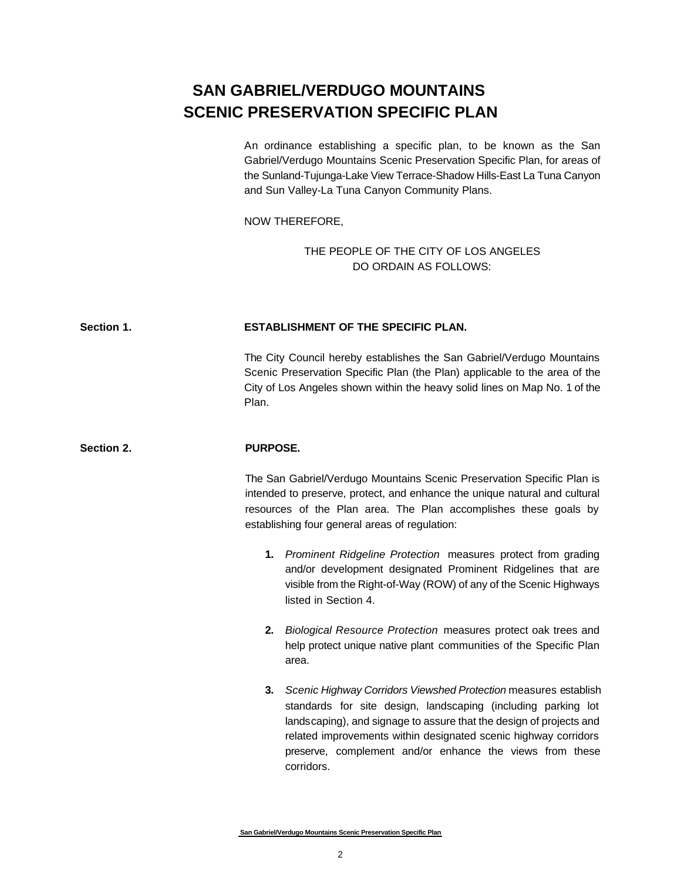## **SAN GABRIEL/VERDUGO MOUNTAINS SCENIC PRESERVATION SPECIFIC PLAN**

An ordinance establishing a specific plan, to be known as the San Gabriel/Verdugo Mountains Scenic Preservation Specific Plan, for areas of the Sunland-Tujunga-Lake View Terrace-Shadow Hills-East La Tuna Canyon and Sun Valley-La Tuna Canyon Community Plans.

NOW THEREFORE,

THE PEOPLE OF THE CITY OF LOS ANGELES DO ORDAIN AS FOLLOWS:

#### **Section 1. ESTABLISHMENT OF THE SPECIFIC PLAN.**

The City Council hereby establishes the San Gabriel/Verdugo Mountains Scenic Preservation Specific Plan (the Plan) applicable to the area of the City of Los Angeles shown within the heavy solid lines on Map No. 1 of the Plan.

#### **Section 2. PURPOSE.**

The San Gabriel/Verdugo Mountains Scenic Preservation Specific Plan is intended to preserve, protect, and enhance the unique natural and cultural resources of the Plan area. The Plan accomplishes these goals by establishing four general areas of regulation:

- **1.** *Prominent Ridgeline Protection* measures protect from grading and/or development designated Prominent Ridgelines that are visible from the Right-of-Way (ROW) of any of the Scenic Highways listed in Section 4.
- **2.** *Biological Resource Protection* measures protect oak trees and help protect unique native plant communities of the Specific Plan area.
- **3.** *Scenic Highway Corridors Viewshed Protection* measures establish standards for site design, landscaping (including parking lot landscaping), and signage to assure that the design of projects and related improvements within designated scenic highway corridors preserve, complement and/or enhance the views from these corridors.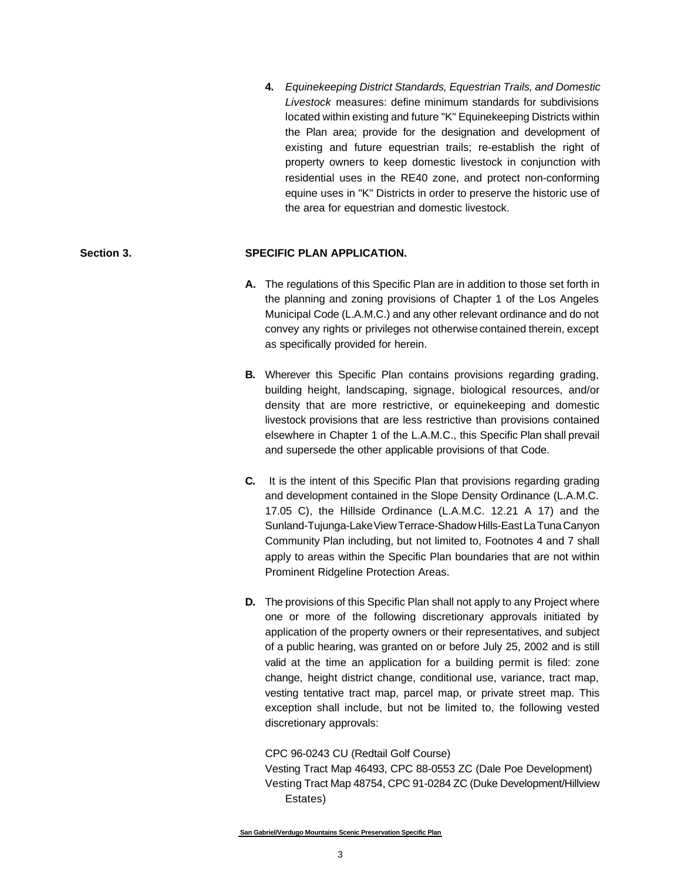**4.** *Equinekeeping District Standards, Equestrian Trails, and Domestic Livestock* measures: define minimum standards for subdivisions located within existing and future "K" Equinekeeping Districts within the Plan area; provide for the designation and development of existing and future equestrian trails; re-establish the right of property owners to keep domestic livestock in conjunction with residential uses in the RE40 zone, and protect non-conforming equine uses in "K" Districts in order to preserve the historic use of the area for equestrian and domestic livestock.

#### **Section 3. SPECIFIC PLAN APPLICATION.**

- **A.** The regulations of this Specific Plan are in addition to those set forth in the planning and zoning provisions of Chapter 1 of the Los Angeles Municipal Code (L.A.M.C.) and any other relevant ordinance and do not convey any rights or privileges not otherwise contained therein, except as specifically provided for herein.
- **B.** Wherever this Specific Plan contains provisions regarding grading, building height, landscaping, signage, biological resources, and/or density that are more restrictive, or equinekeeping and domestic livestock provisions that are less restrictive than provisions contained elsewhere in Chapter 1 of the L.A.M.C., this Specific Plan shall prevail and supersede the other applicable provisions of that Code.
- **C.** It is the intent of this Specific Plan that provisions regarding grading and development contained in the Slope Density Ordinance (L.A.M.C. 17.05 C), the Hillside Ordinance (L.A.M.C. 12.21 A 17) and the Sunland-Tujunga-Lake View Terrace-Shadow Hills-East La Tuna Canyon Community Plan including, but not limited to, Footnotes 4 and 7 shall apply to areas within the Specific Plan boundaries that are not within Prominent Ridgeline Protection Areas.
- **D.** The provisions of this Specific Plan shall not apply to any Project where one or more of the following discretionary approvals initiated by application of the property owners or their representatives, and subject of a public hearing, was granted on or before July 25, 2002 and is still valid at the time an application for a building permit is filed: zone change, height district change, conditional use, variance, tract map, vesting tentative tract map, parcel map, or private street map. This exception shall include, but not be limited to, the following vested discretionary approvals:

#### CPC 96-0243 CU (Redtail Golf Course)

Vesting Tract Map 46493, CPC 88-0553 ZC (Dale Poe Development) Vesting Tract Map 48754, CPC 91-0284 ZC (Duke Development/Hillview Estates)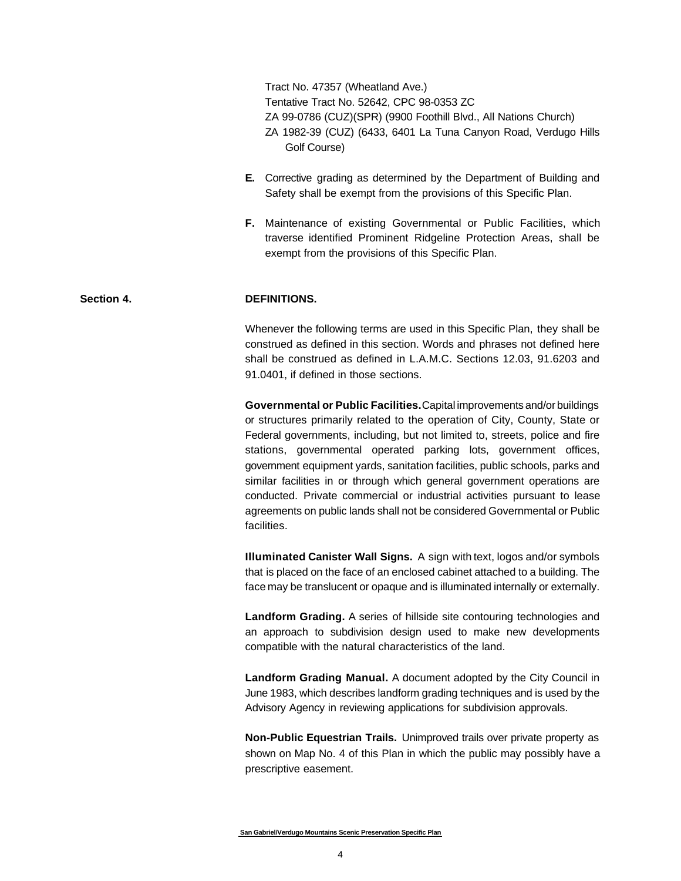Tract No. 47357 (Wheatland Ave.) Tentative Tract No. 52642, CPC 98-0353 ZC ZA 99-0786 (CUZ)(SPR) (9900 Foothill Blvd., All Nations Church) ZA 1982-39 (CUZ) (6433, 6401 La Tuna Canyon Road, Verdugo Hills Golf Course)

- **E.** Corrective grading as determined by the Department of Building and Safety shall be exempt from the provisions of this Specific Plan.
- **F.** Maintenance of existing Governmental or Public Facilities, which traverse identified Prominent Ridgeline Protection Areas, shall be exempt from the provisions of this Specific Plan.

#### **Section 4. DEFINITIONS.**

Whenever the following terms are used in this Specific Plan, they shall be construed as defined in this section. Words and phrases not defined here shall be construed as defined in L.A.M.C. Sections 12.03, 91.6203 and 91.0401, if defined in those sections.

**Governmental or Public Facilities.** Capital improvements and/or buildings or structures primarily related to the operation of City, County, State or Federal governments, including, but not limited to, streets, police and fire stations, governmental operated parking lots, government offices, government equipment yards, sanitation facilities, public schools, parks and similar facilities in or through which general government operations are conducted. Private commercial or industrial activities pursuant to lease agreements on public lands shall not be considered Governmental or Public facilities.

**Illuminated Canister Wall Signs.** A sign with text, logos and/or symbols that is placed on the face of an enclosed cabinet attached to a building. The face may be translucent or opaque and is illuminated internally or externally.

**Landform Grading.** A series of hillside site contouring technologies and an approach to subdivision design used to make new developments compatible with the natural characteristics of the land.

**Landform Grading Manual.** A document adopted by the City Council in June 1983, which describes landform grading techniques and is used by the Advisory Agency in reviewing applications for subdivision approvals.

**Non-Public Equestrian Trails.** Unimproved trails over private property as shown on Map No. 4 of this Plan in which the public may possibly have a prescriptive easement.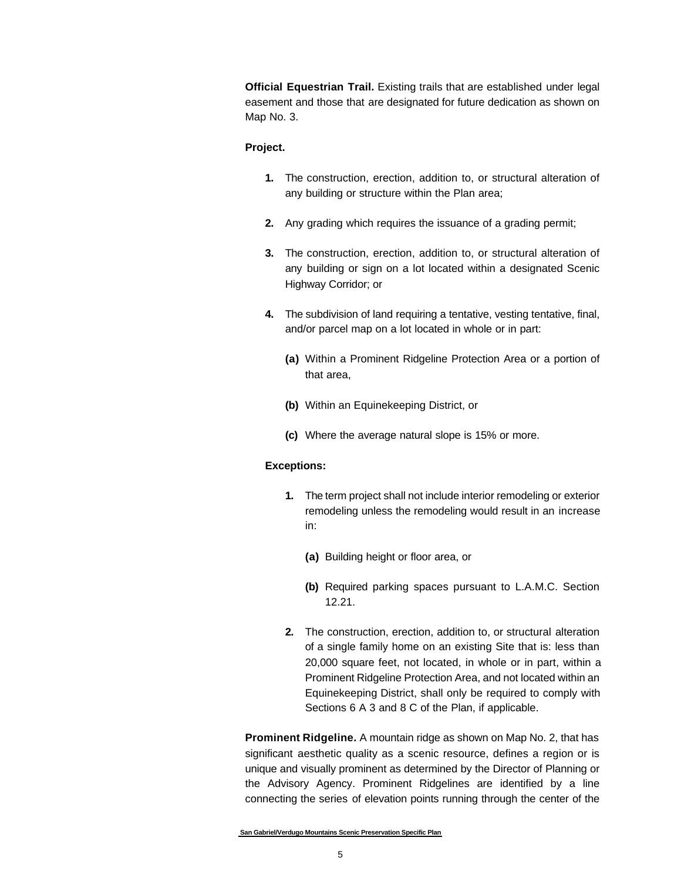**Official Equestrian Trail.** Existing trails that are established under legal easement and those that are designated for future dedication as shown on Map No. 3.

#### **Project.**

- **1.** The construction, erection, addition to, or structural alteration of any building or structure within the Plan area;
- **2.** Any grading which requires the issuance of a grading permit;
- **3.** The construction, erection, addition to, or structural alteration of any building or sign on a lot located within a designated Scenic Highway Corridor; or
- **4.** The subdivision of land requiring a tentative, vesting tentative, final, and/or parcel map on a lot located in whole or in part:
	- **(a)** Within a Prominent Ridgeline Protection Area or a portion of that area,
	- **(b)** Within an Equinekeeping District, or
	- **(c)** Where the average natural slope is 15% or more.

#### **Exceptions:**

- **1.** The term project shall not include interior remodeling or exterior remodeling unless the remodeling would result in an increase in:
	- **(a)** Building height or floor area, or
	- **(b)** Required parking spaces pursuant to L.A.M.C. Section 12.21.
- **2.** The construction, erection, addition to, or structural alteration of a single family home on an existing Site that is: less than 20,000 square feet, not located, in whole or in part, within a Prominent Ridgeline Protection Area, and not located within an Equinekeeping District, shall only be required to comply with Sections 6 A 3 and 8 C of the Plan, if applicable.

**Prominent Ridgeline.** A mountain ridge as shown on Map No. 2, that has significant aesthetic quality as a scenic resource, defines a region or is unique and visually prominent as determined by the Director of Planning or the Advisory Agency. Prominent Ridgelines are identified by a line connecting the series of elevation points running through the center of the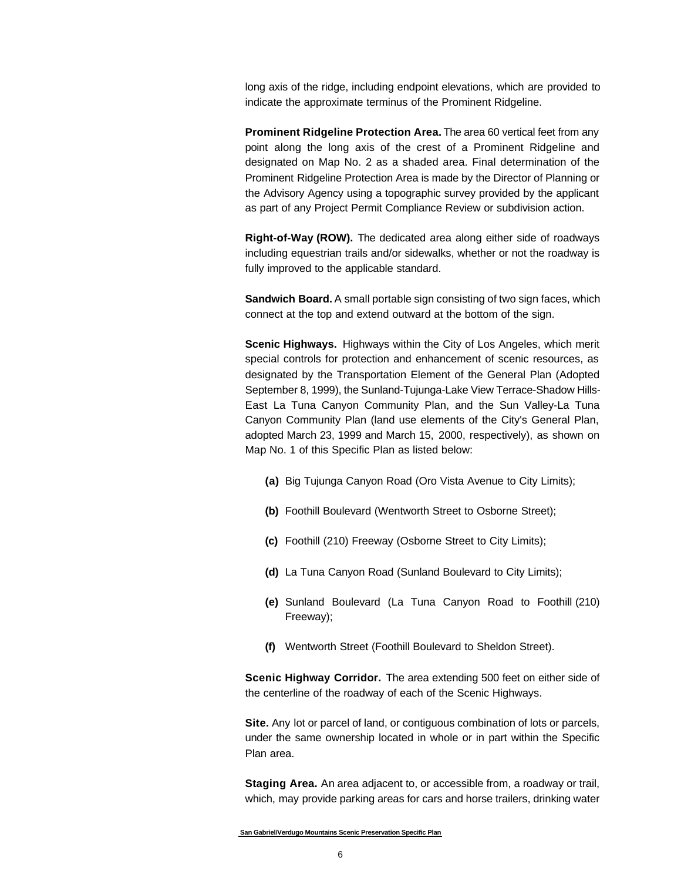long axis of the ridge, including endpoint elevations, which are provided to indicate the approximate terminus of the Prominent Ridgeline.

**Prominent Ridgeline Protection Area.** The area 60 vertical feet from any point along the long axis of the crest of a Prominent Ridgeline and designated on Map No. 2 as a shaded area. Final determination of the Prominent Ridgeline Protection Area is made by the Director of Planning or the Advisory Agency using a topographic survey provided by the applicant as part of any Project Permit Compliance Review or subdivision action.

**Right-of-Way (ROW).** The dedicated area along either side of roadways including equestrian trails and/or sidewalks, whether or not the roadway is fully improved to the applicable standard.

**Sandwich Board.** A small portable sign consisting of two sign faces, which connect at the top and extend outward at the bottom of the sign.

**Scenic Highways.** Highways within the City of Los Angeles, which merit special controls for protection and enhancement of scenic resources, as designated by the Transportation Element of the General Plan (Adopted September 8, 1999), the Sunland-Tujunga-Lake View Terrace-Shadow Hills-East La Tuna Canyon Community Plan, and the Sun Valley-La Tuna Canyon Community Plan (land use elements of the City's General Plan, adopted March 23, 1999 and March 15, 2000, respectively), as shown on Map No. 1 of this Specific Plan as listed below:

- **(a)** Big Tujunga Canyon Road (Oro Vista Avenue to City Limits);
- **(b)** Foothill Boulevard (Wentworth Street to Osborne Street);
- **(c)** Foothill (210) Freeway (Osborne Street to City Limits);
- **(d)** La Tuna Canyon Road (Sunland Boulevard to City Limits);
- **(e)** Sunland Boulevard (La Tuna Canyon Road to Foothill (210) Freeway);
- **(f)** Wentworth Street (Foothill Boulevard to Sheldon Street).

**Scenic Highway Corridor.** The area extending 500 feet on either side of the centerline of the roadway of each of the Scenic Highways.

**Site.** Any lot or parcel of land, or contiguous combination of lots or parcels, under the same ownership located in whole or in part within the Specific Plan area.

**Staging Area.** An area adjacent to, or accessible from, a roadway or trail, which, may provide parking areas for cars and horse trailers, drinking water

**San Gabriel/Verdugo Mountains Scenic Preservation Specific Plan**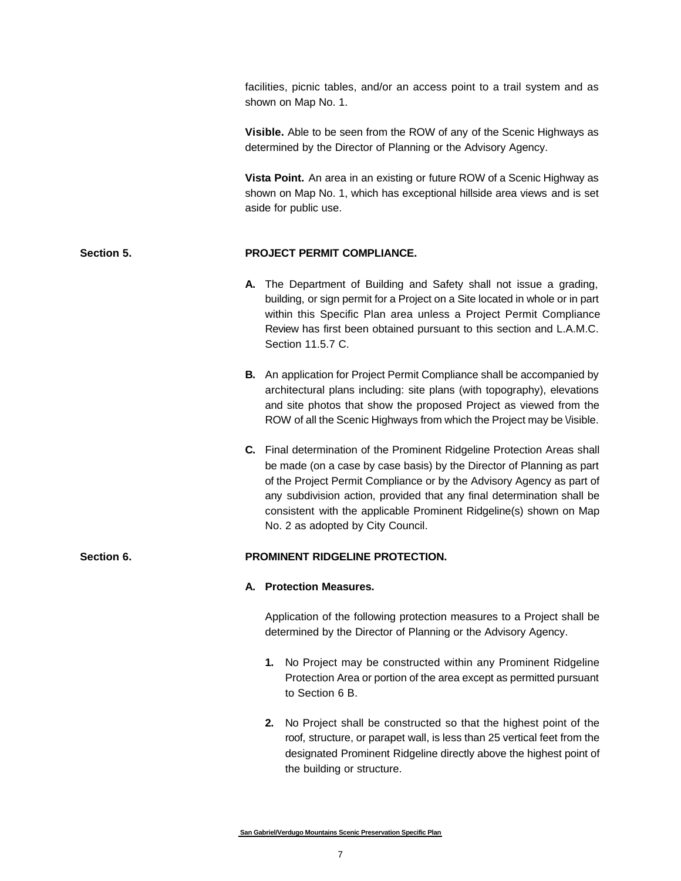facilities, picnic tables, and/or an access point to a trail system and as shown on Map No. 1.

**Visible.** Able to be seen from the ROW of any of the Scenic Highways as determined by the Director of Planning or the Advisory Agency.

**Vista Point.** An area in an existing or future ROW of a Scenic Highway as shown on Map No. 1, which has exceptional hillside area views and is set aside for public use.

#### **Section 5. PROJECT PERMIT COMPLIANCE.**

- **A.** The Department of Building and Safety shall not issue a grading, building, or sign permit for a Project on a Site located in whole or in part within this Specific Plan area unless a Project Permit Compliance Review has first been obtained pursuant to this section and L.A.M.C. Section 11.5.7 C.
- **B.** An application for Project Permit Compliance shall be accompanied by architectural plans including: site plans (with topography), elevations and site photos that show the proposed Project as viewed from the ROW of all the Scenic Highways from which the Project may be Visible.
- **C.** Final determination of the Prominent Ridgeline Protection Areas shall be made (on a case by case basis) by the Director of Planning as part of the Project Permit Compliance or by the Advisory Agency as part of any subdivision action, provided that any final determination shall be consistent with the applicable Prominent Ridgeline(s) shown on Map No. 2 as adopted by City Council.

#### **Section 6. PROMINENT RIDGELINE PROTECTION.**

#### **A. Protection Measures.**

Application of the following protection measures to a Project shall be determined by the Director of Planning or the Advisory Agency.

- **1.** No Project may be constructed within any Prominent Ridgeline Protection Area or portion of the area except as permitted pursuant to Section 6 B.
- **2.** No Project shall be constructed so that the highest point of the roof, structure, or parapet wall, is less than 25 vertical feet from the designated Prominent Ridgeline directly above the highest point of the building or structure.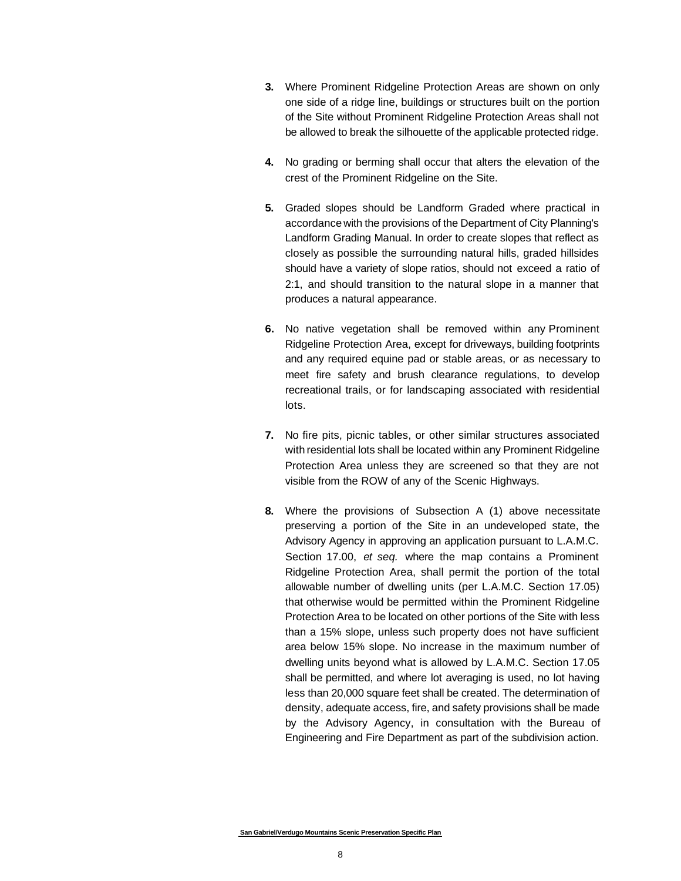- **3.** Where Prominent Ridgeline Protection Areas are shown on only one side of a ridge line, buildings or structures built on the portion of the Site without Prominent Ridgeline Protection Areas shall not be allowed to break the silhouette of the applicable protected ridge.
- **4.** No grading or berming shall occur that alters the elevation of the crest of the Prominent Ridgeline on the Site.
- **5.** Graded slopes should be Landform Graded where practical in accordance with the provisions of the Department of City Planning's Landform Grading Manual. In order to create slopes that reflect as closely as possible the surrounding natural hills, graded hillsides should have a variety of slope ratios, should not exceed a ratio of 2:1, and should transition to the natural slope in a manner that produces a natural appearance.
- **6.** No native vegetation shall be removed within any Prominent Ridgeline Protection Area, except for driveways, building footprints and any required equine pad or stable areas, or as necessary to meet fire safety and brush clearance regulations, to develop recreational trails, or for landscaping associated with residential lots.
- **7.** No fire pits, picnic tables, or other similar structures associated with residential lots shall be located within any Prominent Ridgeline Protection Area unless they are screened so that they are not visible from the ROW of any of the Scenic Highways.
- **8.** Where the provisions of Subsection A (1) above necessitate preserving a portion of the Site in an undeveloped state, the Advisory Agency in approving an application pursuant to L.A.M.C. Section 17.00, *et seq.* where the map contains a Prominent Ridgeline Protection Area, shall permit the portion of the total allowable number of dwelling units (per L.A.M.C. Section 17.05) that otherwise would be permitted within the Prominent Ridgeline Protection Area to be located on other portions of the Site with less than a 15% slope, unless such property does not have sufficient area below 15% slope. No increase in the maximum number of dwelling units beyond what is allowed by L.A.M.C. Section 17.05 shall be permitted, and where lot averaging is used, no lot having less than 20,000 square feet shall be created. The determination of density, adequate access, fire, and safety provisions shall be made by the Advisory Agency, in consultation with the Bureau of Engineering and Fire Department as part of the subdivision action.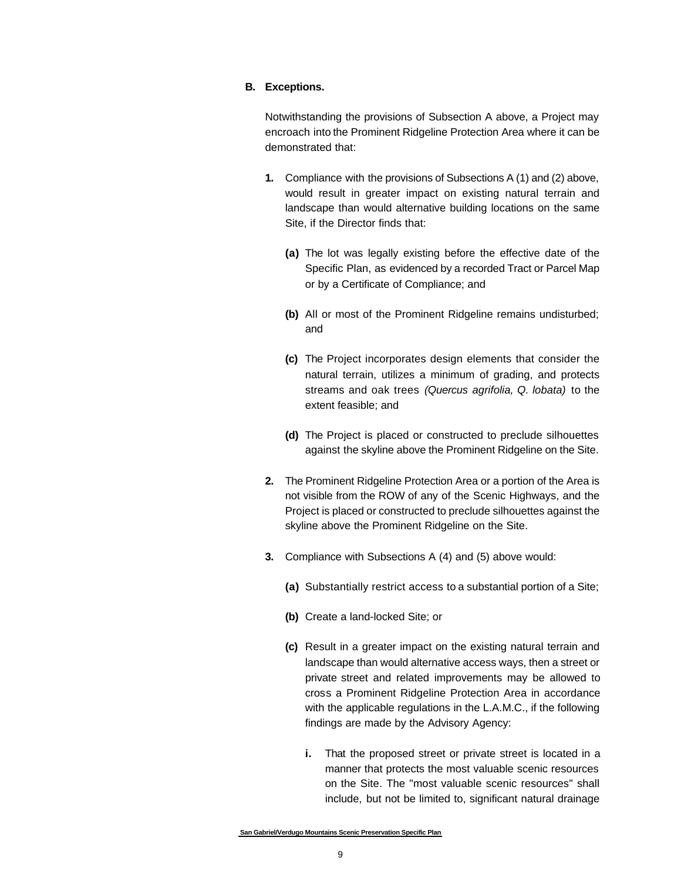#### **B. Exceptions.**

Notwithstanding the provisions of Subsection A above, a Project may encroach into the Prominent Ridgeline Protection Area where it can be demonstrated that:

- **1.** Compliance with the provisions of Subsections A (1) and (2) above, would result in greater impact on existing natural terrain and landscape than would alternative building locations on the same Site, if the Director finds that:
	- **(a)** The lot was legally existing before the effective date of the Specific Plan, as evidenced by a recorded Tract or Parcel Map or by a Certificate of Compliance; and
	- **(b)** All or most of the Prominent Ridgeline remains undisturbed; and
	- **(c)** The Project incorporates design elements that consider the natural terrain, utilizes a minimum of grading, and protects streams and oak trees *(Quercus agrifolia, Q. lobata)* to the extent feasible; and
	- **(d)** The Project is placed or constructed to preclude silhouettes against the skyline above the Prominent Ridgeline on the Site.
- **2.** The Prominent Ridgeline Protection Area or a portion of the Area is not visible from the ROW of any of the Scenic Highways, and the Project is placed or constructed to preclude silhouettes against the skyline above the Prominent Ridgeline on the Site.
- **3.** Compliance with Subsections A (4) and (5) above would:
	- **(a)** Substantially restrict access to a substantial portion of a Site;
	- **(b)** Create a land-locked Site; or
	- **(c)** Result in a greater impact on the existing natural terrain and landscape than would alternative access ways, then a street or private street and related improvements may be allowed to cross a Prominent Ridgeline Protection Area in accordance with the applicable regulations in the L.A.M.C., if the following findings are made by the Advisory Agency:
		- **i.** That the proposed street or private street is located in a manner that protects the most valuable scenic resources on the Site. The "most valuable scenic resources" shall include, but not be limited to, significant natural drainage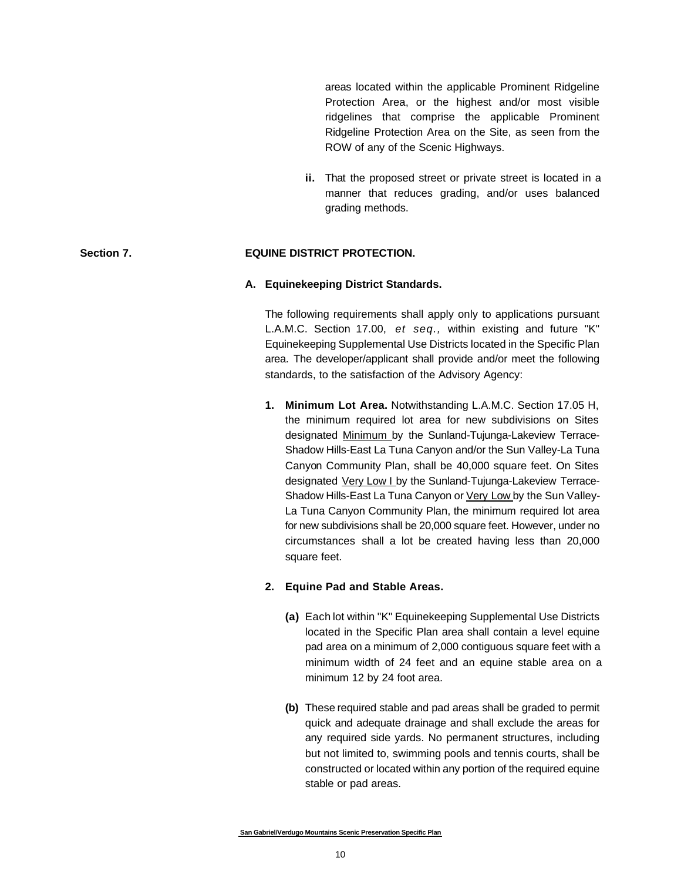areas located within the applicable Prominent Ridgeline Protection Area, or the highest and/or most visible ridgelines that comprise the applicable Prominent Ridgeline Protection Area on the Site, as seen from the ROW of any of the Scenic Highways.

**ii.** That the proposed street or private street is located in a manner that reduces grading, and/or uses balanced grading methods.

#### **Section 7. EQUINE DISTRICT PROTECTION.**

#### **A. Equinekeeping District Standards.**

The following requirements shall apply only to applications pursuant L.A.M.C. Section 17.00, *et seq.,* within existing and future "K" Equinekeeping Supplemental Use Districts located in the Specific Plan area. The developer/applicant shall provide and/or meet the following standards, to the satisfaction of the Advisory Agency:

**1. Minimum Lot Area.** Notwithstanding L.A.M.C. Section 17.05 H, the minimum required lot area for new subdivisions on Sites designated Minimum by the Sunland-Tujunga-Lakeview Terrace-Shadow Hills-East La Tuna Canyon and/or the Sun Valley-La Tuna Canyon Community Plan, shall be 40,000 square feet. On Sites designated Very Low I by the Sunland-Tujunga-Lakeview Terrace-Shadow Hills-East La Tuna Canyon or Very Low by the Sun Valley-La Tuna Canyon Community Plan, the minimum required lot area for new subdivisions shall be 20,000 square feet. However, under no circumstances shall a lot be created having less than 20,000 square feet.

#### **2. Equine Pad and Stable Areas.**

- **(a)** Each lot within "K" Equinekeeping Supplemental Use Districts located in the Specific Plan area shall contain a level equine pad area on a minimum of 2,000 contiguous square feet with a minimum width of 24 feet and an equine stable area on a minimum 12 by 24 foot area.
- **(b)** These required stable and pad areas shall be graded to permit quick and adequate drainage and shall exclude the areas for any required side yards. No permanent structures, including but not limited to, swimming pools and tennis courts, shall be constructed or located within any portion of the required equine stable or pad areas.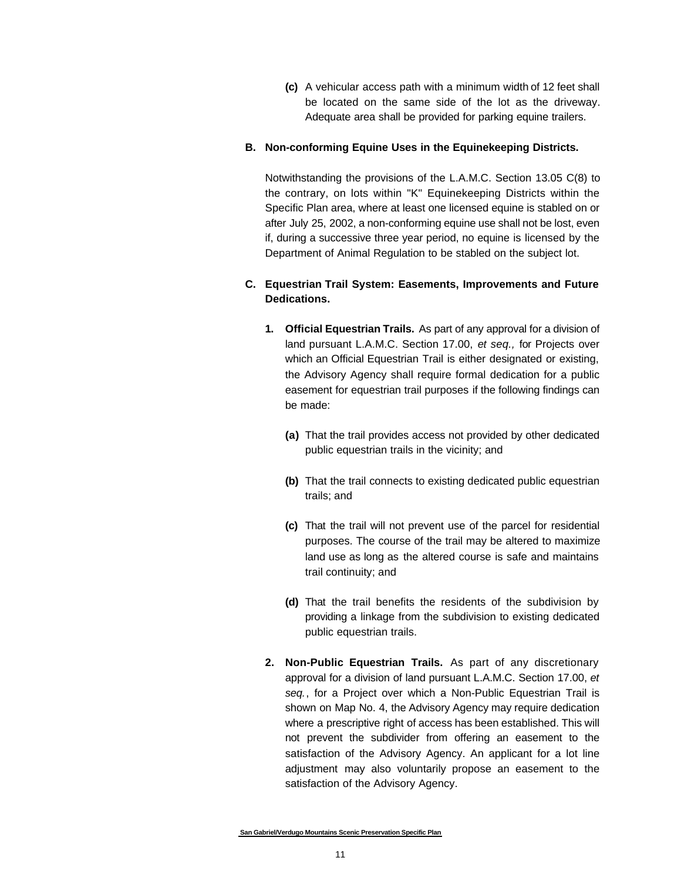**(c)** A vehicular access path with a minimum width of 12 feet shall be located on the same side of the lot as the driveway. Adequate area shall be provided for parking equine trailers.

#### **B. Non-conforming Equine Uses in the Equinekeeping Districts.**

Notwithstanding the provisions of the L.A.M.C. Section 13.05 C(8) to the contrary, on lots within "K" Equinekeeping Districts within the Specific Plan area, where at least one licensed equine is stabled on or after July 25, 2002, a non-conforming equine use shall not be lost, even if, during a successive three year period, no equine is licensed by the Department of Animal Regulation to be stabled on the subject lot.

#### **C. Equestrian Trail System: Easements, Improvements and Future Dedications.**

- **1. Official Equestrian Trails.** As part of any approval for a division of land pursuant L.A.M.C. Section 17.00, *et seq.,* for Projects over which an Official Equestrian Trail is either designated or existing, the Advisory Agency shall require formal dedication for a public easement for equestrian trail purposes if the following findings can be made:
	- **(a)** That the trail provides access not provided by other dedicated public equestrian trails in the vicinity; and
	- **(b)** That the trail connects to existing dedicated public equestrian trails; and
	- **(c)** That the trail will not prevent use of the parcel for residential purposes. The course of the trail may be altered to maximize land use as long as the altered course is safe and maintains trail continuity; and
	- **(d)** That the trail benefits the residents of the subdivision by providing a linkage from the subdivision to existing dedicated public equestrian trails.
- **2. Non-Public Equestrian Trails.** As part of any discretionary approval for a division of land pursuant L.A.M.C. Section 17.00, *et seq.*, for a Project over which a Non-Public Equestrian Trail is shown on Map No. 4, the Advisory Agency may require dedication where a prescriptive right of access has been established. This will not prevent the subdivider from offering an easement to the satisfaction of the Advisory Agency. An applicant for a lot line adjustment may also voluntarily propose an easement to the satisfaction of the Advisory Agency.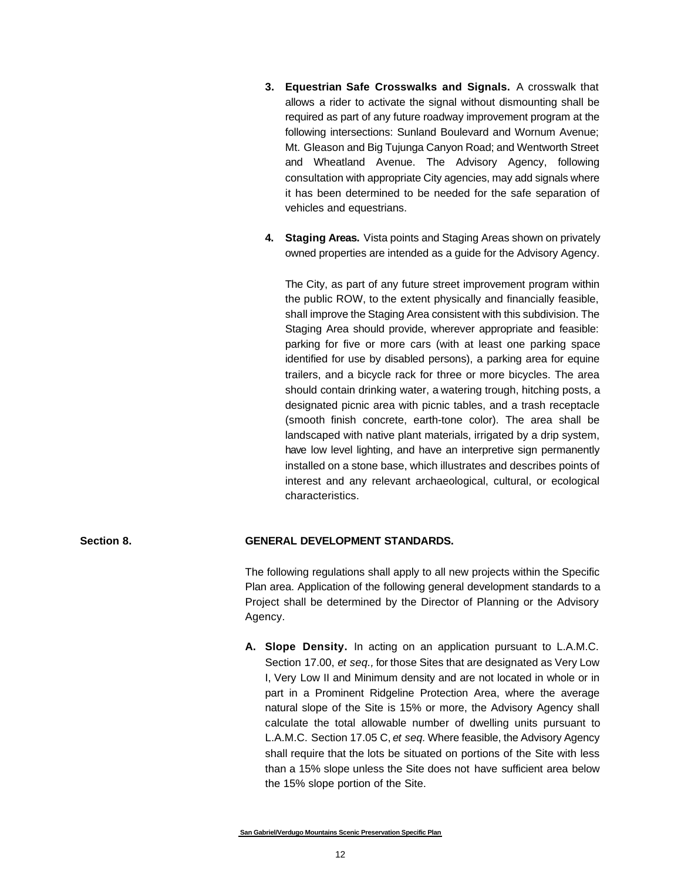- **3. Equestrian Safe Crosswalks and Signals.** A crosswalk that allows a rider to activate the signal without dismounting shall be required as part of any future roadway improvement program at the following intersections: Sunland Boulevard and Wornum Avenue; Mt. Gleason and Big Tujunga Canyon Road; and Wentworth Street and Wheatland Avenue. The Advisory Agency, following consultation with appropriate City agencies, may add signals where it has been determined to be needed for the safe separation of vehicles and equestrians.
- **4. Staging Areas.** Vista points and Staging Areas shown on privately owned properties are intended as a guide for the Advisory Agency.

The City, as part of any future street improvement program within the public ROW, to the extent physically and financially feasible, shall improve the Staging Area consistent with this subdivision. The Staging Area should provide, wherever appropriate and feasible: parking for five or more cars (with at least one parking space identified for use by disabled persons), a parking area for equine trailers, and a bicycle rack for three or more bicycles. The area should contain drinking water, a watering trough, hitching posts, a designated picnic area with picnic tables, and a trash receptacle (smooth finish concrete, earth-tone color). The area shall be landscaped with native plant materials, irrigated by a drip system, have low level lighting, and have an interpretive sign permanently installed on a stone base, which illustrates and describes points of interest and any relevant archaeological, cultural, or ecological characteristics.

#### **Section 8. GENERAL DEVELOPMENT STANDARDS.**

The following regulations shall apply to all new projects within the Specific Plan area. Application of the following general development standards to a Project shall be determined by the Director of Planning or the Advisory Agency.

**A. Slope Density.** In acting on an application pursuant to L.A.M.C. Section 17.00, *et seq.,* for those Sites that are designated as Very Low I, Very Low II and Minimum density and are not located in whole or in part in a Prominent Ridgeline Protection Area, where the average natural slope of the Site is 15% or more, the Advisory Agency shall calculate the total allowable number of dwelling units pursuant to L.A.M.C. Section 17.05 C, *et seq.* Where feasible, the Advisory Agency shall require that the lots be situated on portions of the Site with less than a 15% slope unless the Site does not have sufficient area below the 15% slope portion of the Site.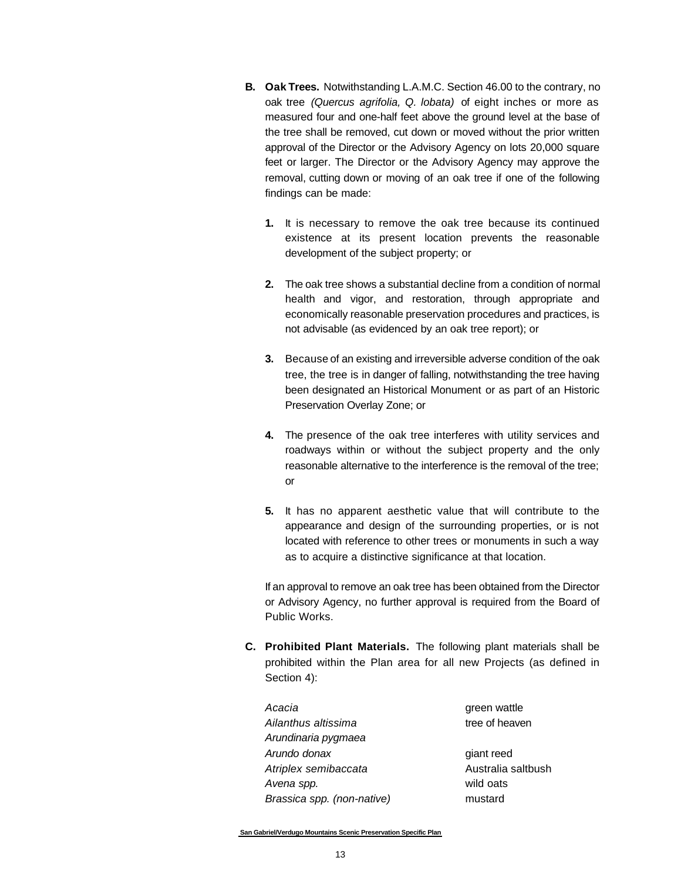- **B. Oak Trees.** Notwithstanding L.A.M.C. Section 46.00 to the contrary, no oak tree *(Quercus agrifolia, Q. lobata)* of eight inches or more as measured four and one-half feet above the ground level at the base of the tree shall be removed, cut down or moved without the prior written approval of the Director or the Advisory Agency on lots 20,000 square feet or larger. The Director or the Advisory Agency may approve the removal, cutting down or moving of an oak tree if one of the following findings can be made:
	- **1.** It is necessary to remove the oak tree because its continued existence at its present location prevents the reasonable development of the subject property; or
	- **2.** The oak tree shows a substantial decline from a condition of normal health and vigor, and restoration, through appropriate and economically reasonable preservation procedures and practices, is not advisable (as evidenced by an oak tree report); or
	- **3.** Because of an existing and irreversible adverse condition of the oak tree, the tree is in danger of falling, notwithstanding the tree having been designated an Historical Monument or as part of an Historic Preservation Overlay Zone; or
	- **4.** The presence of the oak tree interferes with utility services and roadways within or without the subject property and the only reasonable alternative to the interference is the removal of the tree; or
	- **5.** It has no apparent aesthetic value that will contribute to the appearance and design of the surrounding properties, or is not located with reference to other trees or monuments in such a way as to acquire a distinctive significance at that location.

If an approval to remove an oak tree has been obtained from the Director or Advisory Agency, no further approval is required from the Board of Public Works.

**C. Prohibited Plant Materials.** The following plant materials shall be prohibited within the Plan area for all new Projects (as defined in Section 4):

| Acacia                     | green wattle       |
|----------------------------|--------------------|
| Ailanthus altissima        | tree of heaven     |
| Arundinaria pygmaea        |                    |
| Arundo donax               | giant reed         |
| Atriplex semibaccata       | Australia saltbush |
| Avena spp.                 | wild oats          |
| Brassica spp. (non-native) | mustard            |
|                            |                    |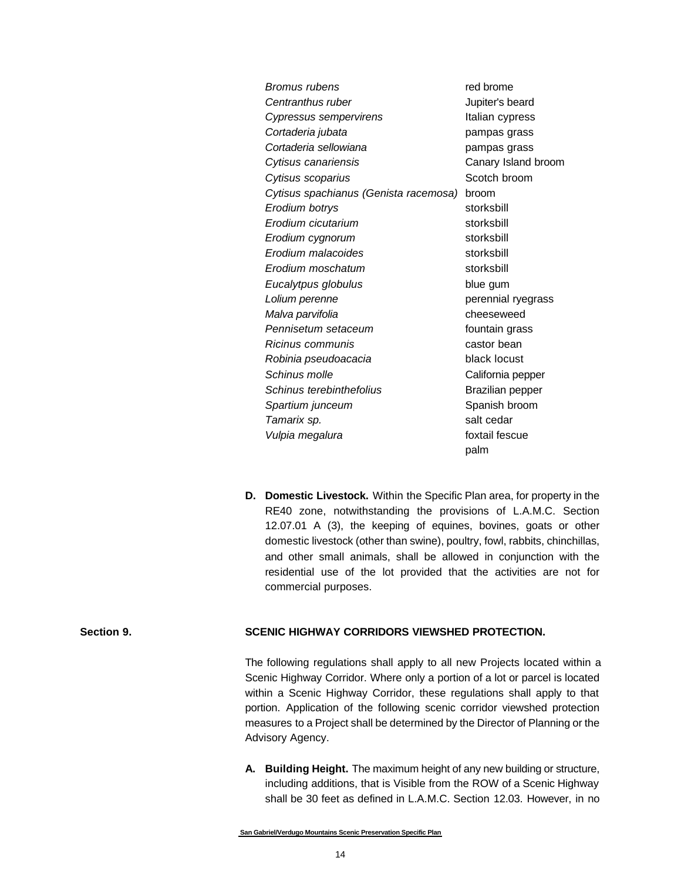| Bromus rubens                         | red brome               |
|---------------------------------------|-------------------------|
| Centranthus ruber                     | Jupiter's beard         |
| Cypressus sempervirens                | Italian cypress         |
| Cortaderia jubata                     | pampas grass            |
| Cortaderia sellowiana                 | pampas grass            |
| Cytisus canariensis                   | Canary Island broom     |
| Cytisus scoparius                     | Scotch broom            |
| Cytisus spachianus (Genista racemosa) | broom                   |
| Erodium botrys                        | storksbill              |
| Erodium cicutarium                    | storksbill              |
| Erodium cygnorum                      | storksbill              |
| Erodium malacoides                    | storksbill              |
| Erodium moschatum                     | storksbill              |
| Eucalytpus globulus                   | blue gum                |
| Lolium perenne                        | perennial ryegrass      |
| Malva parvifolia                      | cheeseweed              |
| Pennisetum setaceum                   | fountain grass          |
| <i>Ricinus communis</i>               | castor bean             |
| Robinia pseudoacacia                  | black locust            |
| Schinus molle                         | California pepper       |
| Schinus terebinthefolius              | <b>Brazilian pepper</b> |
| Spartium junceum                      | Spanish broom           |
| Tamarix sp.                           | salt cedar              |
| Vulpia megalura                       | foxtail fescue          |
|                                       | palm                    |

**D. Domestic Livestock.** Within the Specific Plan area, for property in the RE40 zone, notwithstanding the provisions of L.A.M.C. Section 12.07.01 A (3), the keeping of equines, bovines, goats or other domestic livestock (other than swine), poultry, fowl, rabbits, chinchillas, and other small animals, shall be allowed in conjunction with the residential use of the lot provided that the activities are not for commercial purposes.

#### **Section 9. SCENIC HIGHWAY CORRIDORS VIEWSHED PROTECTION.**

The following regulations shall apply to all new Projects located within a Scenic Highway Corridor. Where only a portion of a lot or parcel is located within a Scenic Highway Corridor, these regulations shall apply to that portion. Application of the following scenic corridor viewshed protection measures to a Project shall be determined by the Director of Planning or the Advisory Agency.

**A. Building Height.** The maximum height of any new building or structure, including additions, that is Visible from the ROW of a Scenic Highway shall be 30 feet as defined in L.A.M.C. Section 12.03. However, in no

**San Gabriel/Verdugo Mountains Scenic Preservation Specific Plan**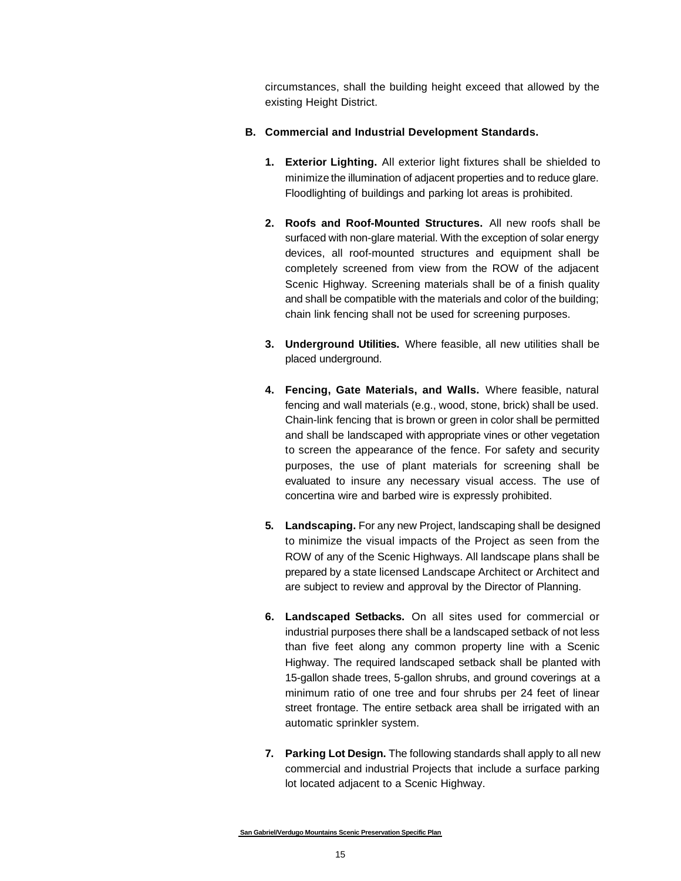circumstances, shall the building height exceed that allowed by the existing Height District.

#### **B. Commercial and Industrial Development Standards.**

- **1. Exterior Lighting.** All exterior light fixtures shall be shielded to minimize the illumination of adjacent properties and to reduce glare. Floodlighting of buildings and parking lot areas is prohibited.
- **2. Roofs and Roof-Mounted Structures.** All new roofs shall be surfaced with non-glare material. With the exception of solar energy devices, all roof-mounted structures and equipment shall be completely screened from view from the ROW of the adjacent Scenic Highway. Screening materials shall be of a finish quality and shall be compatible with the materials and color of the building; chain link fencing shall not be used for screening purposes.
- **3. Underground Utilities.** Where feasible, all new utilities shall be placed underground.
- **4. Fencing, Gate Materials, and Walls.** Where feasible, natural fencing and wall materials (e.g., wood, stone, brick) shall be used. Chain-link fencing that is brown or green in color shall be permitted and shall be landscaped with appropriate vines or other vegetation to screen the appearance of the fence. For safety and security purposes, the use of plant materials for screening shall be evaluated to insure any necessary visual access. The use of concertina wire and barbed wire is expressly prohibited.
- **5. Landscaping.** For any new Project, landscaping shall be designed to minimize the visual impacts of the Project as seen from the ROW of any of the Scenic Highways. All landscape plans shall be prepared by a state licensed Landscape Architect or Architect and are subject to review and approval by the Director of Planning.
- **6. Landscaped Setbacks.** On all sites used for commercial or industrial purposes there shall be a landscaped setback of not less than five feet along any common property line with a Scenic Highway. The required landscaped setback shall be planted with 15-gallon shade trees, 5-gallon shrubs, and ground coverings at a minimum ratio of one tree and four shrubs per 24 feet of linear street frontage. The entire setback area shall be irrigated with an automatic sprinkler system.
- **7. Parking Lot Design.** The following standards shall apply to all new commercial and industrial Projects that include a surface parking lot located adjacent to a Scenic Highway.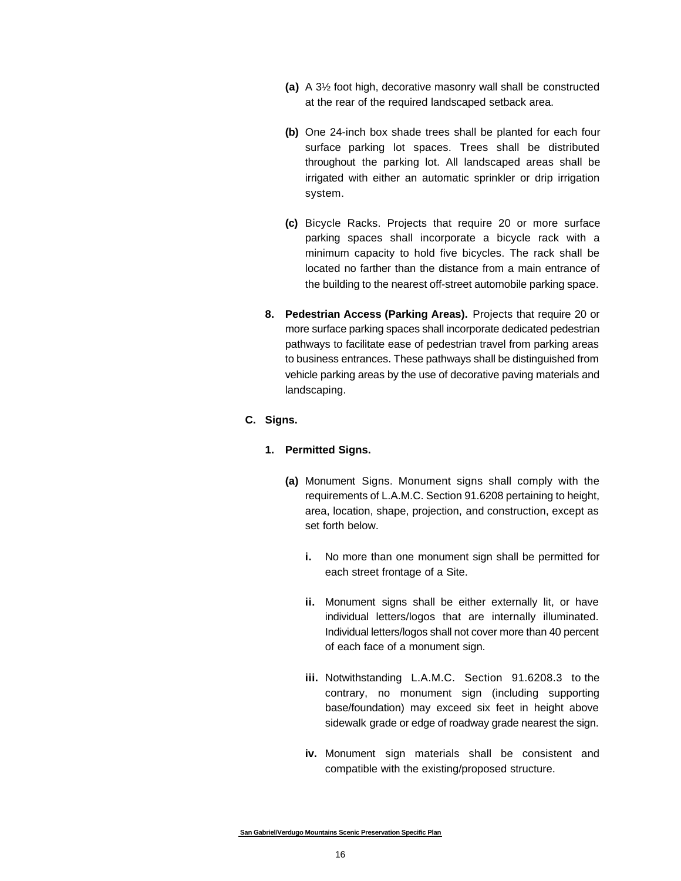- **(a)** A 3½ foot high, decorative masonry wall shall be constructed at the rear of the required landscaped setback area.
- **(b)** One 24-inch box shade trees shall be planted for each four surface parking lot spaces. Trees shall be distributed throughout the parking lot. All landscaped areas shall be irrigated with either an automatic sprinkler or drip irrigation system.
- **(c)** Bicycle Racks. Projects that require 20 or more surface parking spaces shall incorporate a bicycle rack with a minimum capacity to hold five bicycles. The rack shall be located no farther than the distance from a main entrance of the building to the nearest off-street automobile parking space.
- **8. Pedestrian Access (Parking Areas).** Projects that require 20 or more surface parking spaces shall incorporate dedicated pedestrian pathways to facilitate ease of pedestrian travel from parking areas to business entrances. These pathways shall be distinguished from vehicle parking areas by the use of decorative paving materials and landscaping.

#### **C. Signs.**

#### **1. Permitted Signs.**

- **(a)** Monument Signs. Monument signs shall comply with the requirements of L.A.M.C. Section 91.6208 pertaining to height, area, location, shape, projection, and construction, except as set forth below.
	- **i.** No more than one monument sign shall be permitted for each street frontage of a Site.
	- **ii.** Monument signs shall be either externally lit, or have individual letters/logos that are internally illuminated. Individual letters/logos shall not cover more than 40 percent of each face of a monument sign.
	- **iii.** Notwithstanding L.A.M.C. Section 91.6208.3 to the contrary, no monument sign (including supporting base/foundation) may exceed six feet in height above sidewalk grade or edge of roadway grade nearest the sign.
	- **iv.** Monument sign materials shall be consistent and compatible with the existing/proposed structure.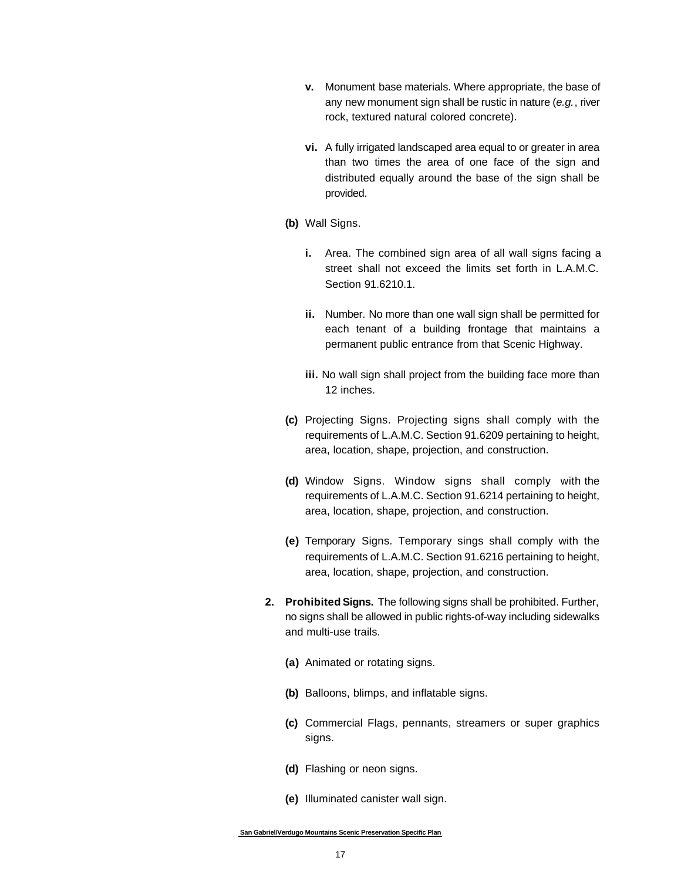- **v.** Monument base materials. Where appropriate, the base of any new monument sign shall be rustic in nature (*e.g.*, river rock, textured natural colored concrete).
- **vi.** A fully irrigated landscaped area equal to or greater in area than two times the area of one face of the sign and distributed equally around the base of the sign shall be provided.
- **(b)** Wall Signs.
	- **i.** Area. The combined sign area of all wall signs facing a street shall not exceed the limits set forth in L.A.M.C. Section 91.6210.1.
	- **ii.** Number. No more than one wall sign shall be permitted for each tenant of a building frontage that maintains a permanent public entrance from that Scenic Highway.
	- **iii.** No wall sign shall project from the building face more than 12 inches.
- **(c)** Projecting Signs. Projecting signs shall comply with the requirements of L.A.M.C. Section 91.6209 pertaining to height, area, location, shape, projection, and construction.
- **(d)** Window Signs. Window signs shall comply with the requirements of L.A.M.C. Section 91.6214 pertaining to height, area, location, shape, projection, and construction.
- **(e)** Temporary Signs. Temporary sings shall comply with the requirements of L.A.M.C. Section 91.6216 pertaining to height, area, location, shape, projection, and construction.
- **2. Prohibited Signs.** The following signs shall be prohibited. Further, no signs shall be allowed in public rights-of-way including sidewalks and multi-use trails.
	- **(a)** Animated or rotating signs.
	- **(b)** Balloons, blimps, and inflatable signs.
	- **(c)** Commercial Flags, pennants, streamers or super graphics signs.
	- **(d)** Flashing or neon signs.
	- **(e)** Illuminated canister wall sign.

**San Gabriel/Verdugo Mountains Scenic Preservation Specific Plan**